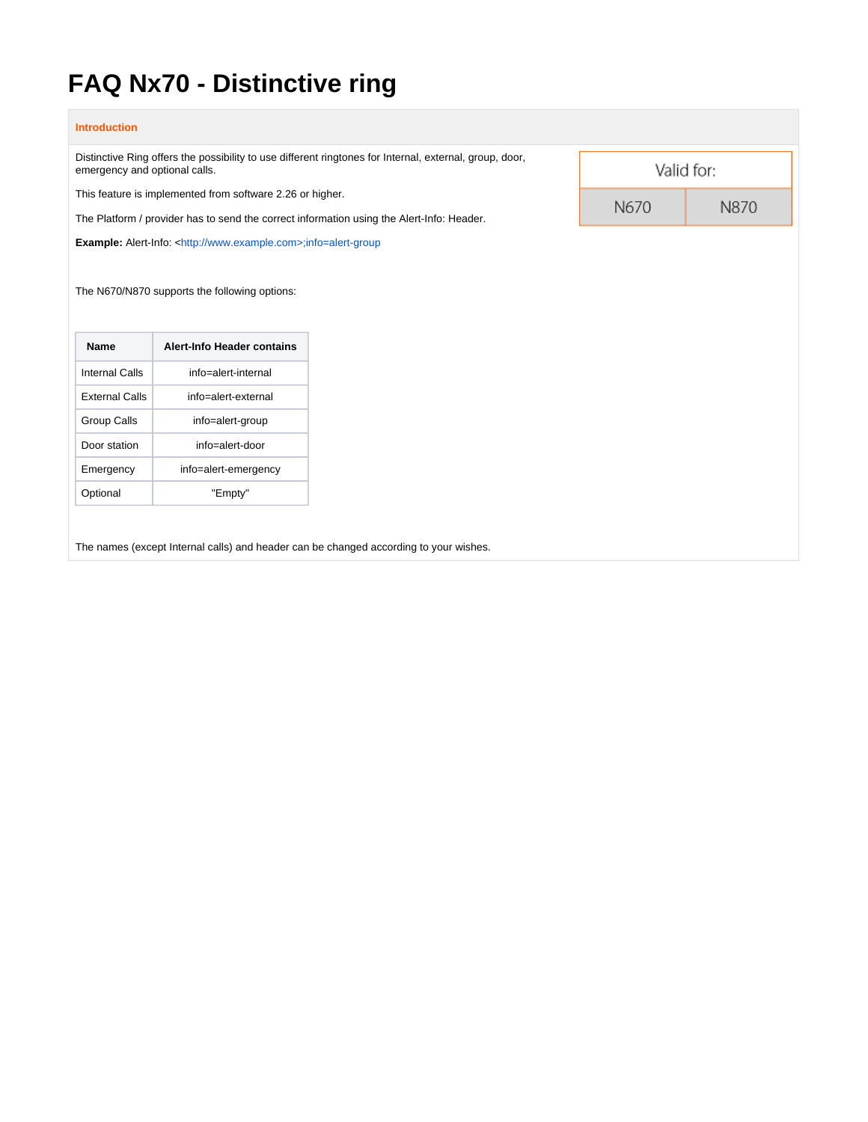## **FAQ Nx70 - Distinctive ring**

| Distinctive Ring offers the possibility to use different ringtones for Internal, external, group, door,<br>emergency and optional calls. |                                                                          |      | Valid for: |  |
|------------------------------------------------------------------------------------------------------------------------------------------|--------------------------------------------------------------------------|------|------------|--|
| This feature is implemented from software 2.26 or higher.                                                                                |                                                                          | N670 | N870       |  |
| The Platform / provider has to send the correct information using the Alert-Info: Header.                                                |                                                                          |      |            |  |
|                                                                                                                                          | Example: Alert-Info: <http: www.example.com="">;info=alert-group</http:> |      |            |  |
|                                                                                                                                          |                                                                          |      |            |  |
|                                                                                                                                          |                                                                          |      |            |  |
| <b>Name</b>                                                                                                                              | <b>Alert-Info Header contains</b>                                        |      |            |  |
| <b>Internal Calls</b>                                                                                                                    | info=alert-internal                                                      |      |            |  |
| <b>External Calls</b>                                                                                                                    | info=alert-external                                                      |      |            |  |
| Group Calls                                                                                                                              | info=alert-group                                                         |      |            |  |
| Door station                                                                                                                             | info=alert-door                                                          |      |            |  |
| Emergency                                                                                                                                | info=alert-emergency                                                     |      |            |  |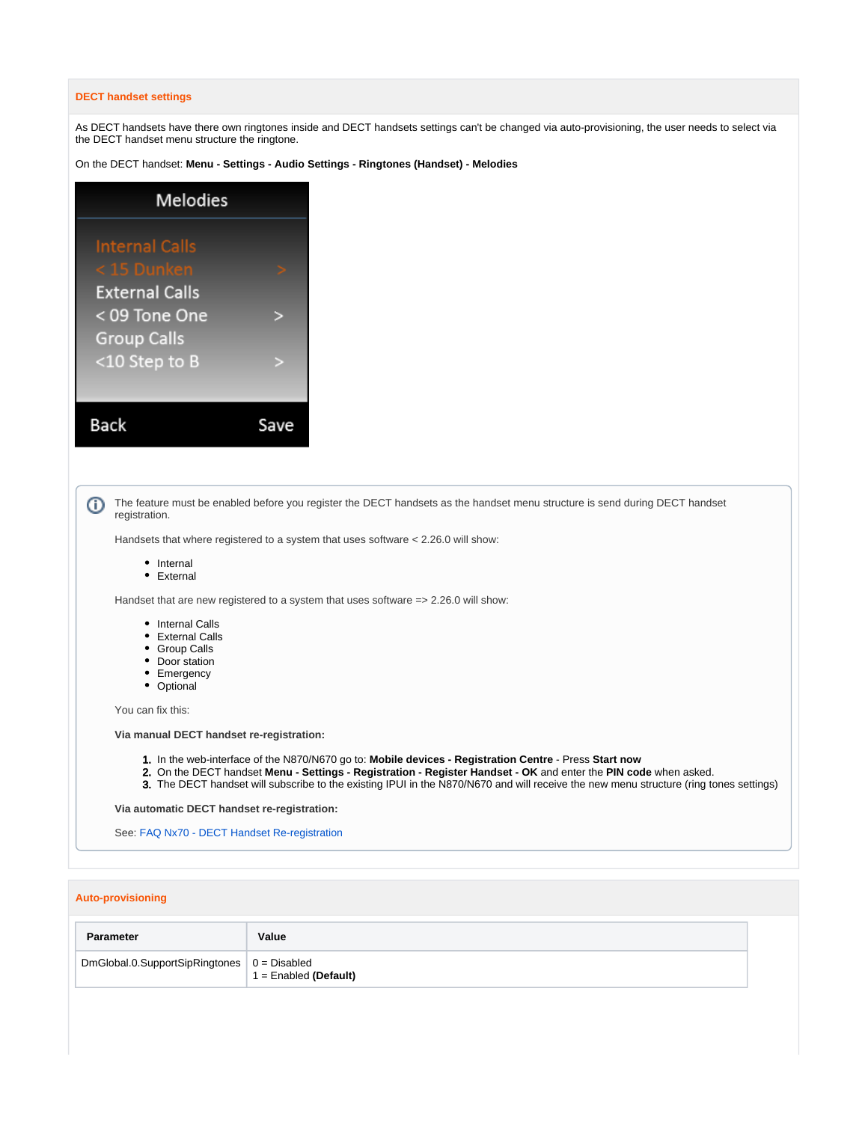## **DECT handset settings**

As DECT handsets have there own ringtones inside and DECT handsets settings can't be changed via auto-provisioning, the user needs to select via the DECT handset menu structure the ringtone.

On the DECT handset: **Menu - Settings - Audio Settings - Ringtones (Handset) - Melodies**

| <b>Melodies</b>       |  |  |
|-----------------------|--|--|
| <b>Internal Calls</b> |  |  |
| < 15 Dunken           |  |  |
| <b>External Calls</b> |  |  |
| < 09 Tone One         |  |  |
| <b>Group Calls</b>    |  |  |
| <10 Step to B         |  |  |
|                       |  |  |
| Back                  |  |  |
|                       |  |  |

| The feature must be enabled before you register the DECT handsets as the handset menu structure is send during DECT handset<br>registration. |  |  |
|----------------------------------------------------------------------------------------------------------------------------------------------|--|--|
| Handsets that where registered to a system that uses software < 2.26.0 will show:                                                            |  |  |
| • Internal<br>• External                                                                                                                     |  |  |
| Handset that are new registered to a system that uses software = > 2.26.0 will show:                                                         |  |  |
| • Internal Calls<br>• External Calls<br>• Group Calls<br>• Door station<br>• Emergency<br>• Optional                                         |  |  |
| You can fix this:                                                                                                                            |  |  |
| Via manual DECT handset re-registration:                                                                                                     |  |  |
|                                                                                                                                              |  |  |

- 1. In the web-interface of the N870/N670 go to: **Mobile devices Registration Centre** Press **Start now**
- 2. On the DECT handset **Menu - Settings - Registration - Register Handset - OK** and enter the **PIN code** when asked.
- 3. The DECT handset will subscribe to the existing IPUI in the N870/N670 and will receive the new menu structure (ring tones settings)

**Via automatic DECT handset re-registration:**

See: [FAQ Nx70 - DECT Handset Re-registration](https://teamwork.gigaset.com/gigawiki/display/GPPPO/FAQ+Nx70+-+DECT+Handset+Re-registration)

## **Auto-provisioning**

| Parameter                                           | Value                   |
|-----------------------------------------------------|-------------------------|
| DmGlobal.0.SupportSipRingtones $\vert 0 =$ Disabled | $1 =$ Enabled (Default) |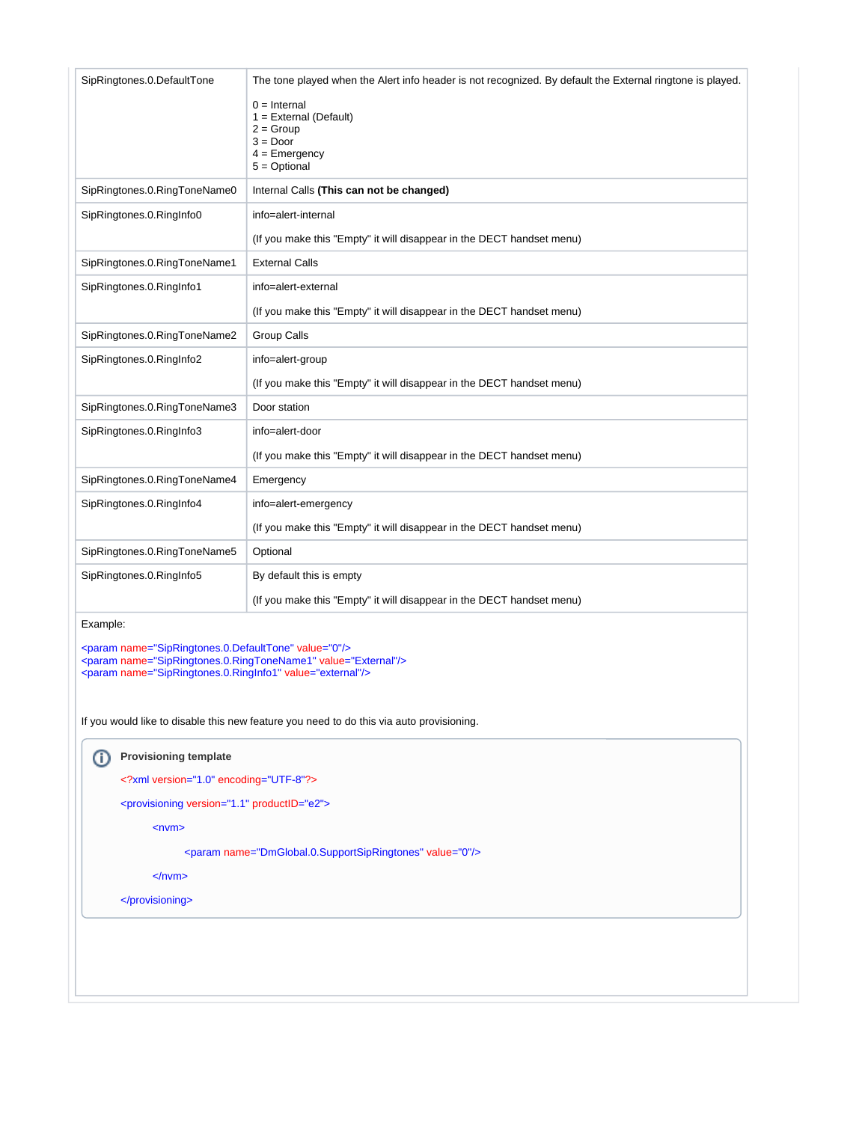| SipRingtones.0.DefaultTone                                                                                                                                                                                                                                                     | The tone played when the Alert info header is not recognized. By default the External ringtone is played.<br>$0 =$ Internal<br>$1 =$ External (Default)<br>$2 = Group$<br>$3 = Door$<br>$4 =$ Emergency<br>$5 = \text{Optional}$ |  |  |  |  |  |
|--------------------------------------------------------------------------------------------------------------------------------------------------------------------------------------------------------------------------------------------------------------------------------|----------------------------------------------------------------------------------------------------------------------------------------------------------------------------------------------------------------------------------|--|--|--|--|--|
| SipRingtones.0.RingToneName0                                                                                                                                                                                                                                                   | Internal Calls (This can not be changed)                                                                                                                                                                                         |  |  |  |  |  |
| SipRingtones.0.RingInfo0                                                                                                                                                                                                                                                       | info=alert-internal                                                                                                                                                                                                              |  |  |  |  |  |
|                                                                                                                                                                                                                                                                                | (If you make this "Empty" it will disappear in the DECT handset menu)                                                                                                                                                            |  |  |  |  |  |
| SipRingtones.0.RingToneName1                                                                                                                                                                                                                                                   | <b>External Calls</b>                                                                                                                                                                                                            |  |  |  |  |  |
| SipRingtones.0.RingInfo1                                                                                                                                                                                                                                                       | info=alert-external                                                                                                                                                                                                              |  |  |  |  |  |
|                                                                                                                                                                                                                                                                                | (If you make this "Empty" it will disappear in the DECT handset menu)                                                                                                                                                            |  |  |  |  |  |
| SipRingtones.0.RingToneName2                                                                                                                                                                                                                                                   | Group Calls                                                                                                                                                                                                                      |  |  |  |  |  |
| SipRingtones.0.RingInfo2                                                                                                                                                                                                                                                       | info=alert-group                                                                                                                                                                                                                 |  |  |  |  |  |
|                                                                                                                                                                                                                                                                                | (If you make this "Empty" it will disappear in the DECT handset menu)                                                                                                                                                            |  |  |  |  |  |
| SipRingtones.0.RingToneName3                                                                                                                                                                                                                                                   | Door station                                                                                                                                                                                                                     |  |  |  |  |  |
| SipRingtones.0.RingInfo3                                                                                                                                                                                                                                                       | info=alert-door                                                                                                                                                                                                                  |  |  |  |  |  |
|                                                                                                                                                                                                                                                                                | (If you make this "Empty" it will disappear in the DECT handset menu)                                                                                                                                                            |  |  |  |  |  |
| SipRingtones.0.RingToneName4                                                                                                                                                                                                                                                   | Emergency                                                                                                                                                                                                                        |  |  |  |  |  |
| SipRingtones.0.RingInfo4                                                                                                                                                                                                                                                       | info=alert-emergency                                                                                                                                                                                                             |  |  |  |  |  |
|                                                                                                                                                                                                                                                                                | (If you make this "Empty" it will disappear in the DECT handset menu)                                                                                                                                                            |  |  |  |  |  |
| SipRingtones.0.RingToneName5                                                                                                                                                                                                                                                   | Optional                                                                                                                                                                                                                         |  |  |  |  |  |
| SipRingtones.0.RingInfo5                                                                                                                                                                                                                                                       | By default this is empty                                                                                                                                                                                                         |  |  |  |  |  |
|                                                                                                                                                                                                                                                                                | (If you make this "Empty" it will disappear in the DECT handset menu)                                                                                                                                                            |  |  |  |  |  |
| Example:                                                                                                                                                                                                                                                                       |                                                                                                                                                                                                                                  |  |  |  |  |  |
| <param name="SipRingtones.0.DefaultTone" value="0"/><br><param name="SipRingtones.0.RingToneName1" value="External"/><br><param name="SipRingtones.0.RingInfo1" value="external"/><br>If you would like to disable this new feature you need to do this via auto provisioning. |                                                                                                                                                                                                                                  |  |  |  |  |  |
| <b>Provisioning template</b><br>⊕                                                                                                                                                                                                                                              |                                                                                                                                                                                                                                  |  |  |  |  |  |
|                                                                                                                                                                                                                                                                                | xml version="1.0" encoding="UTF-8"?                                                                                                                                                                                              |  |  |  |  |  |
| <provisioning productid="e2" version="1.1"></provisioning>                                                                                                                                                                                                                     |                                                                                                                                                                                                                                  |  |  |  |  |  |
| $<$ nvm $>$                                                                                                                                                                                                                                                                    |                                                                                                                                                                                                                                  |  |  |  |  |  |
| <param name="DmGlobal.0.SupportSipRingtones" value="0"/>                                                                                                                                                                                                                       |                                                                                                                                                                                                                                  |  |  |  |  |  |
| $<$ /nvm>                                                                                                                                                                                                                                                                      |                                                                                                                                                                                                                                  |  |  |  |  |  |
|                                                                                                                                                                                                                                                                                |                                                                                                                                                                                                                                  |  |  |  |  |  |
|                                                                                                                                                                                                                                                                                |                                                                                                                                                                                                                                  |  |  |  |  |  |
|                                                                                                                                                                                                                                                                                |                                                                                                                                                                                                                                  |  |  |  |  |  |
|                                                                                                                                                                                                                                                                                |                                                                                                                                                                                                                                  |  |  |  |  |  |
|                                                                                                                                                                                                                                                                                |                                                                                                                                                                                                                                  |  |  |  |  |  |